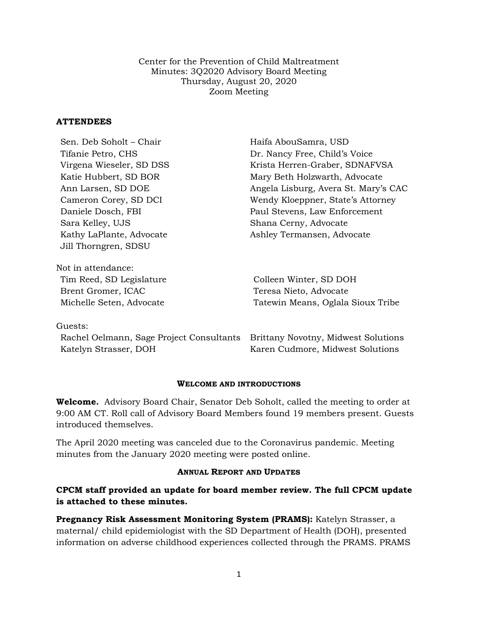Center for the Prevention of Child Maltreatment Minutes: 3Q2020 Advisory Board Meeting Thursday, August 20, 2020 Zoom Meeting

## **ATTENDEES**

| Sen. Deb Soholt – Chair  | Haifa AbouSamra, USD                 |
|--------------------------|--------------------------------------|
| Tifanie Petro, CHS       | Dr. Nancy Free, Child's Voice        |
| Virgena Wieseler, SD DSS | Krista Herren-Graber, SDNAFVSA       |
| Katie Hubbert, SD BOR    | Mary Beth Holzwarth, Advocate        |
| Ann Larsen, SD DOE       | Angela Lisburg, Avera St. Mary's CAC |
| Cameron Corey, SD DCI    | Wendy Kloeppner, State's Attorney    |
| Daniele Dosch, FBI       | Paul Stevens, Law Enforcement        |
| Sara Kelley, UJS         | Shana Cerny, Advocate                |
| Kathy LaPlante, Advocate | Ashley Termansen, Advocate           |
| Jill Thorngren, SDSU     |                                      |
| Not in attendance:       |                                      |
| Tim Reed, SD Legislature | Colleen Winter, SD DOH               |
| Brent Gromer, ICAC       | Teresa Nieto, Advocate               |
| Michelle Seten, Advocate | Tatewin Means, Oglala Sioux Tribe    |
| Guests:                  |                                      |
|                          |                                      |

Rachel Oelmann, Sage Project Consultants Brittany Novotny, Midwest Solutions Katelyn Strasser, DOH Karen Cudmore, Midwest Solutions

### **WELCOME AND INTRODUCTIONS**

**Welcome.** Advisory Board Chair, Senator Deb Soholt, called the meeting to order at 9:00 AM CT. Roll call of Advisory Board Members found 19 members present. Guests introduced themselves.

The April 2020 meeting was canceled due to the Coronavirus pandemic. Meeting minutes from the January 2020 meeting were posted online.

### **ANNUAL REPORT AND UPDATES**

# **CPCM staff provided an update for board member review. The full CPCM update is attached to these minutes.**

**Pregnancy Risk Assessment Monitoring System (PRAMS):** Katelyn Strasser, a maternal/ child epidemiologist with the SD Department of Health (DOH), presented information on adverse childhood experiences collected through the PRAMS. PRAMS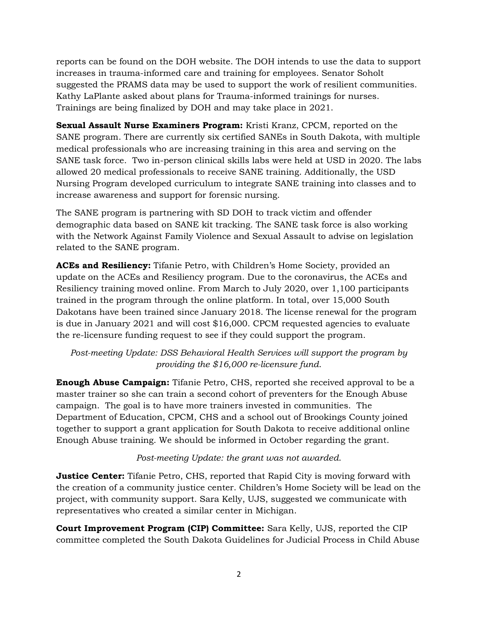reports can be found on the DOH website. The DOH intends to use the data to support increases in trauma-informed care and training for employees. Senator Soholt suggested the PRAMS data may be used to support the work of resilient communities. Kathy LaPlante asked about plans for Trauma-informed trainings for nurses. Trainings are being finalized by DOH and may take place in 2021.

**Sexual Assault Nurse Examiners Program:** Kristi Kranz, CPCM, reported on the SANE program. There are currently six certified SANEs in South Dakota, with multiple medical professionals who are increasing training in this area and serving on the SANE task force. Two in-person clinical skills labs were held at USD in 2020. The labs allowed 20 medical professionals to receive SANE training. Additionally, the USD Nursing Program developed curriculum to integrate SANE training into classes and to increase awareness and support for forensic nursing.

The SANE program is partnering with SD DOH to track victim and offender demographic data based on SANE kit tracking. The SANE task force is also working with the Network Against Family Violence and Sexual Assault to advise on legislation related to the SANE program.

**ACEs and Resiliency:** Tifanie Petro, with Children's Home Society, provided an update on the ACEs and Resiliency program. Due to the coronavirus, the ACEs and Resiliency training moved online. From March to July 2020, over 1,100 participants trained in the program through the online platform. In total, over 15,000 South Dakotans have been trained since January 2018. The license renewal for the program is due in January 2021 and will cost \$16,000. CPCM requested agencies to evaluate the re-licensure funding request to see if they could support the program.

# *Post-meeting Update: DSS Behavioral Health Services will support the program by providing the \$16,000 re-licensure fund*.

**Enough Abuse Campaign:** Tifanie Petro, CHS, reported she received approval to be a master trainer so she can train a second cohort of preventers for the Enough Abuse campaign. The goal is to have more trainers invested in communities. The Department of Education, CPCM, CHS and a school out of Brookings County joined together to support a grant application for South Dakota to receive additional online Enough Abuse training. We should be informed in October regarding the grant.

# *Post-meeting Update: the grant was not awarded*.

**Justice Center:** Tifanie Petro, CHS, reported that Rapid City is moving forward with the creation of a community justice center. Children's Home Society will be lead on the project, with community support. Sara Kelly, UJS, suggested we communicate with representatives who created a similar center in Michigan.

**Court Improvement Program (CIP) Committee:** Sara Kelly, UJS, reported the CIP committee completed the South Dakota Guidelines for Judicial Process in Child Abuse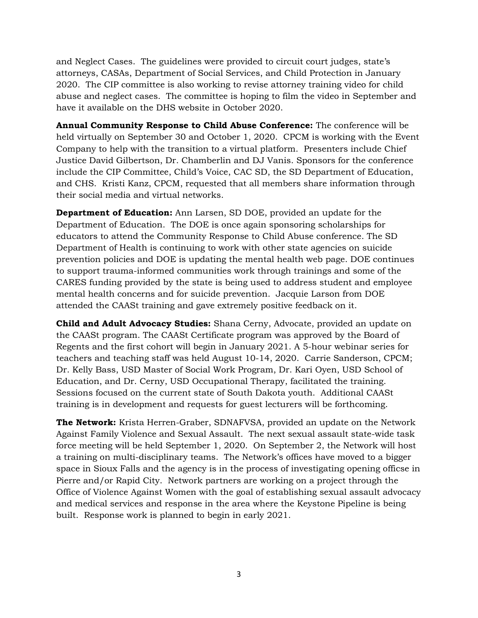and Neglect Cases. The guidelines were provided to circuit court judges, state's attorneys, CASAs, Department of Social Services, and Child Protection in January 2020. The CIP committee is also working to revise attorney training video for child abuse and neglect cases. The committee is hoping to film the video in September and have it available on the DHS website in October 2020.

**Annual Community Response to Child Abuse Conference:** The conference will be held virtually on September 30 and October 1, 2020. CPCM is working with the Event Company to help with the transition to a virtual platform. Presenters include Chief Justice David Gilbertson, Dr. Chamberlin and DJ Vanis. Sponsors for the conference include the CIP Committee, Child's Voice, CAC SD, the SD Department of Education, and CHS. Kristi Kanz, CPCM, requested that all members share information through their social media and virtual networks.

**Department of Education:** Ann Larsen, SD DOE, provided an update for the Department of Education. The DOE is once again sponsoring scholarships for educators to attend the Community Response to Child Abuse conference. The SD Department of Health is continuing to work with other state agencies on suicide prevention policies and DOE is updating the mental health web page. DOE continues to support trauma-informed communities work through trainings and some of the CARES funding provided by the state is being used to address student and employee mental health concerns and for suicide prevention. Jacquie Larson from DOE attended the CAASt training and gave extremely positive feedback on it.

**Child and Adult Advocacy Studies:** Shana Cerny, Advocate, provided an update on the CAASt program. The CAASt Certificate program was approved by the Board of Regents and the first cohort will begin in January 2021. A 5-hour webinar series for teachers and teaching staff was held August 10-14, 2020. Carrie Sanderson, CPCM; Dr. Kelly Bass, USD Master of Social Work Program, Dr. Kari Oyen, USD School of Education, and Dr. Cerny, USD Occupational Therapy, facilitated the training. Sessions focused on the current state of South Dakota youth. Additional CAASt training is in development and requests for guest lecturers will be forthcoming.

**The Network:** Krista Herren-Graber, SDNAFVSA, provided an update on the Network Against Family Violence and Sexual Assault. The next sexual assault state-wide task force meeting will be held September 1, 2020. On September 2, the Network will host a training on multi-disciplinary teams. The Network's offices have moved to a bigger space in Sioux Falls and the agency is in the process of investigating opening officse in Pierre and/or Rapid City. Network partners are working on a project through the Office of Violence Against Women with the goal of establishing sexual assault advocacy and medical services and response in the area where the Keystone Pipeline is being built. Response work is planned to begin in early 2021.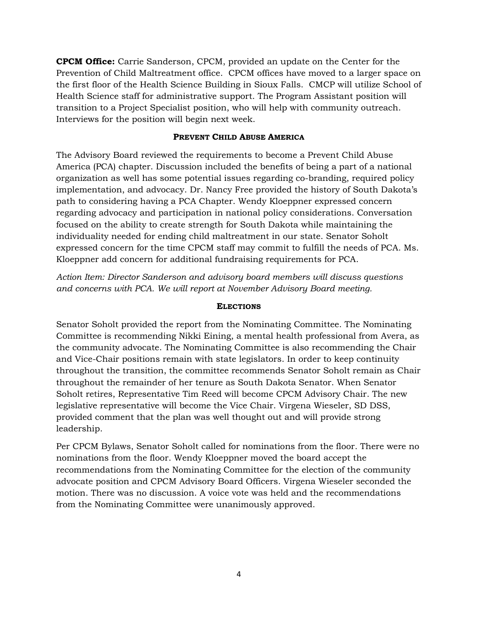**CPCM Office:** Carrie Sanderson, CPCM, provided an update on the Center for the Prevention of Child Maltreatment office. CPCM offices have moved to a larger space on the first floor of the Health Science Building in Sioux Falls. CMCP will utilize School of Health Science staff for administrative support. The Program Assistant position will transition to a Project Specialist position, who will help with community outreach. Interviews for the position will begin next week.

## **PREVENT CHILD ABUSE AMERICA**

The Advisory Board reviewed the requirements to become a Prevent Child Abuse America (PCA) chapter. Discussion included the benefits of being a part of a national organization as well has some potential issues regarding co-branding, required policy implementation, and advocacy. Dr. Nancy Free provided the history of South Dakota's path to considering having a PCA Chapter. Wendy Kloeppner expressed concern regarding advocacy and participation in national policy considerations. Conversation focused on the ability to create strength for South Dakota while maintaining the individuality needed for ending child maltreatment in our state. Senator Soholt expressed concern for the time CPCM staff may commit to fulfill the needs of PCA. Ms. Kloeppner add concern for additional fundraising requirements for PCA.

*Action Item: Director Sanderson and advisory board members will discuss questions and concerns with PCA. We will report at November Advisory Board meeting.*

## **ELECTIONS**

Senator Soholt provided the report from the Nominating Committee. The Nominating Committee is recommending Nikki Eining, a mental health professional from Avera, as the community advocate. The Nominating Committee is also recommending the Chair and Vice-Chair positions remain with state legislators. In order to keep continuity throughout the transition, the committee recommends Senator Soholt remain as Chair throughout the remainder of her tenure as South Dakota Senator. When Senator Soholt retires, Representative Tim Reed will become CPCM Advisory Chair. The new legislative representative will become the Vice Chair. Virgena Wieseler, SD DSS, provided comment that the plan was well thought out and will provide strong leadership.

Per CPCM Bylaws, Senator Soholt called for nominations from the floor. There were no nominations from the floor. Wendy Kloeppner moved the board accept the recommendations from the Nominating Committee for the election of the community advocate position and CPCM Advisory Board Officers. Virgena Wieseler seconded the motion. There was no discussion. A voice vote was held and the recommendations from the Nominating Committee were unanimously approved.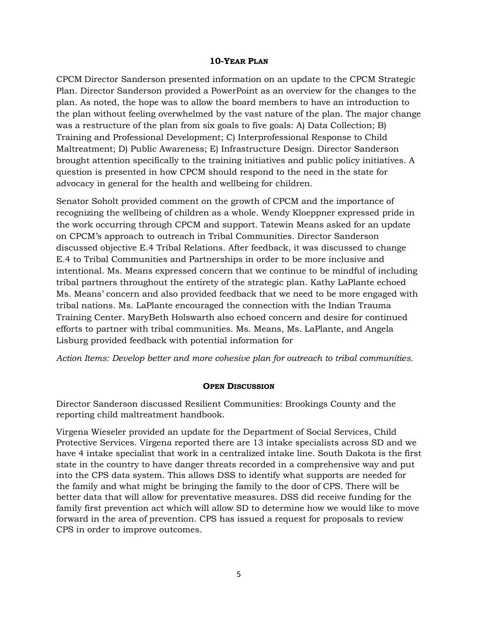#### **10-YEAR PLAN**

CPCM Director Sanderson presented information on an update to the CPCM Strategic Plan. Director Sanderson provided a PowerPoint as an overview for the changes to the plan. As noted, the hope was to allow the board members to have an introduction to the plan without feeling overwhelmed by the vast nature of the plan. The major change was a restructure of the plan from six goals to five goals: A) Data Collection; B) Training and Professional Development; C) Interprofessional Response to Child Maltreatment; D) Public Awareness; E) Infrastructure Design. Director Sanderson brought attention specifically to the training initiatives and public policy initiatives. A question is presented in how CPCM should respond to the need in the state for advocacy in general for the health and wellbeing for children.

Senator Soholt provided comment on the growth of CPCM and the importance of recognizing the wellbeing of children as a whole. Wendy Kloeppner expressed pride in the work occurring through CPCM and support. Tatewin Means asked for an update on CPCM's approach to outreach in Tribal Communities. Director Sanderson discussed objective E.4 Tribal Relations. After feedback, it was discussed to change E.4 to Tribal Communities and Partnerships in order to be more inclusive and intentional. Ms. Means expressed concern that we continue to be mindful of including tribal partners throughout the entirety of the strategic plan. Kathy LaPlante echoed Ms. Means' concern and also provided feedback that we need to be more engaged with tribal nations. Ms. LaPlante encouraged the connection with the Indian Trauma Training Center. MaryBeth Holswarth also echoed concern and desire for continued efforts to partner with tribal communities. Ms. Means, Ms. LaPlante, and Angela Lisburg provided feedback with potential information for

*Action Items: Develop better and more cohesive plan for outreach to tribal communities.* 

#### **OPEN DISCUSSION**

Director Sanderson discussed Resilient Communities: Brookings County and the reporting child maltreatment handbook.

Virgena Wieseler provided an update for the Department of Social Services, Child Protective Services. Virgena reported there are 13 intake specialists across SD and we have 4 intake specialist that work in a centralized intake line. South Dakota is the first state in the country to have danger threats recorded in a comprehensive way and put into the CPS data system. This allows DSS to identify what supports are needed for the family and what might be bringing the family to the door of CPS. There will be better data that will allow for preventative measures. DSS did receive funding for the family first prevention act which will allow SD to determine how we would like to move forward in the area of prevention. CPS has issued a request for proposals to review CPS in order to improve outcomes.